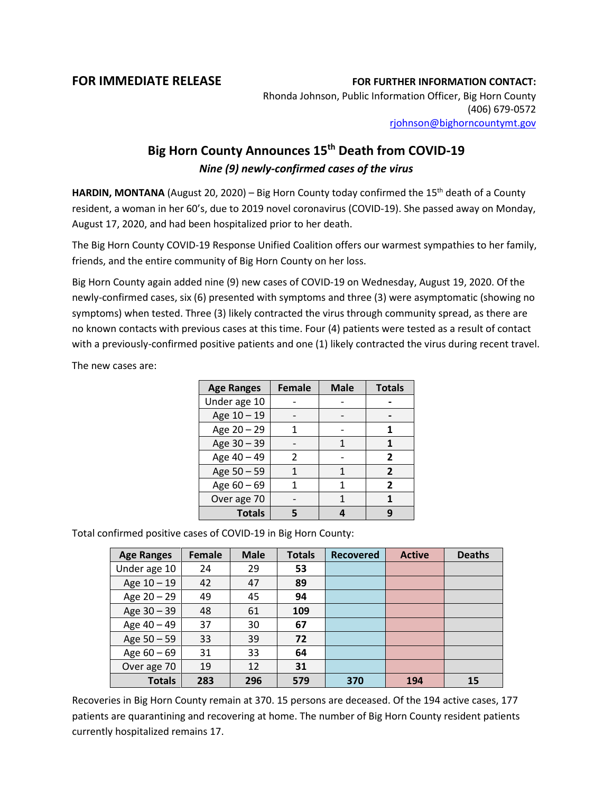## **FOR IMMEDIATE RELEASE FOR FURTHER INFORMATION CONTACT:**

Rhonda Johnson, Public Information Officer, Big Horn County (406) 679-0572 [rjohnson@bighorncountymt.gov](mailto:rjohnson@bighorncountymt.gov)

## **Big Horn County Announces 15th Death from COVID-19** *Nine (9) newly-confirmed cases of the virus*

HARDIN, MONTANA (August 20, 2020) – Big Horn County today confirmed the 15<sup>th</sup> death of a County resident, a woman in her 60's, due to 2019 novel coronavirus (COVID-19). She passed away on Monday, August 17, 2020, and had been hospitalized prior to her death.

The Big Horn County COVID-19 Response Unified Coalition offers our warmest sympathies to her family, friends, and the entire community of Big Horn County on her loss.

Big Horn County again added nine (9) new cases of COVID-19 on Wednesday, August 19, 2020. Of the newly-confirmed cases, six (6) presented with symptoms and three (3) were asymptomatic (showing no symptoms) when tested. Three (3) likely contracted the virus through community spread, as there are no known contacts with previous cases at this time. Four (4) patients were tested as a result of contact with a previously-confirmed positive patients and one (1) likely contracted the virus during recent travel.

The new cases are:

| <b>Age Ranges</b> | <b>Female</b> | <b>Male</b> | <b>Totals</b>  |
|-------------------|---------------|-------------|----------------|
| Under age 10      |               |             |                |
| Age 10 - 19       |               |             |                |
| Age 20 - 29       |               |             |                |
| Age 30 - 39       |               | 1           |                |
| Age 40 - 49       | $\mathcal{P}$ |             | 2              |
| Age 50 - 59       |               |             | $\overline{2}$ |
| Age $60 - 69$     |               |             | 2              |
| Over age 70       |               |             |                |
| <b>Totals</b>     |               |             | q              |

Total confirmed positive cases of COVID-19 in Big Horn County:

| <b>Age Ranges</b> | Female | <b>Male</b> | <b>Totals</b> | <b>Recovered</b> | <b>Active</b> | <b>Deaths</b> |
|-------------------|--------|-------------|---------------|------------------|---------------|---------------|
| Under age 10      | 24     | 29          | 53            |                  |               |               |
| Age 10 - 19       | 42     | 47          | 89            |                  |               |               |
| Age $20 - 29$     | 49     | 45          | 94            |                  |               |               |
| Age 30 - 39       | 48     | 61          | 109           |                  |               |               |
| Age 40 - 49       | 37     | 30          | 67            |                  |               |               |
| Age $50 - 59$     | 33     | 39          | 72            |                  |               |               |
| Age $60 - 69$     | 31     | 33          | 64            |                  |               |               |
| Over age 70       | 19     | 12          | 31            |                  |               |               |
| <b>Totals</b>     | 283    | 296         | 579           | 370              | 194           | 15            |

Recoveries in Big Horn County remain at 370. 15 persons are deceased. Of the 194 active cases, 177 patients are quarantining and recovering at home. The number of Big Horn County resident patients currently hospitalized remains 17.